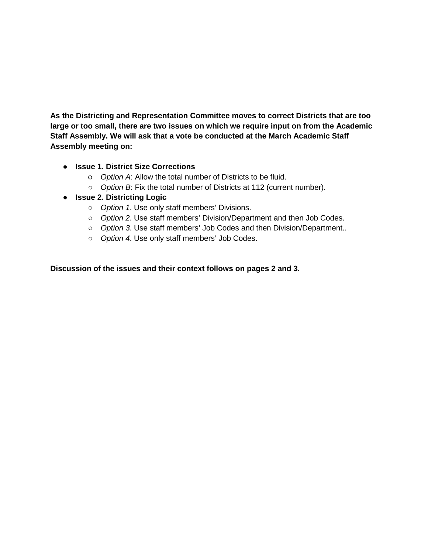**As the Districting and Representation Committee moves to correct Districts that are too large or too small, there are two issues on which we require input on from the Academic Staff Assembly. We will ask that a vote be conducted at the March Academic Staff Assembly meeting on:** 

# ● **Issue 1. District Size Corrections**

- *Option A*: Allow the total number of Districts to be fluid.
- *Option B*: Fix the total number of Districts at 112 (current number).
- **Issue 2. Districting Logic** 
	- *Option 1*. Use only staff members' Divisions.
	- *Option 2*. Use staff members' Division/Department and then Job Codes.
	- *Option 3*. Use staff members' Job Codes and then Division/Department..
	- *Option 4*. Use only staff members' Job Codes.

**Discussion of the issues and their context follows on pages 2 and 3.**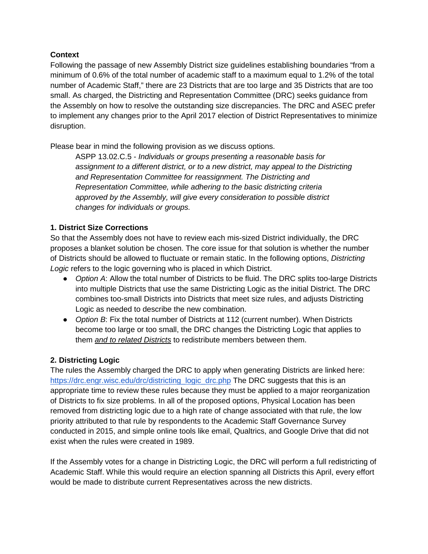## **Context**

Following the passage of new Assembly District size guidelines establishing boundaries "from a minimum of 0.6% of the total number of academic staff to a maximum equal to 1.2% of the total number of Academic Staff," there are 23 Districts that are too large and 35 Districts that are too small. As charged, the Districting and Representation Committee (DRC) seeks guidance from the Assembly on how to resolve the outstanding size discrepancies. The DRC and ASEC prefer to implement any changes prior to the April 2017 election of District Representatives to minimize disruption.

Please bear in mind the following provision as we discuss options.

ASPP 13.02.C.5 - *Individuals or groups presenting a reasonable basis for assignment to a different district, or to a new district, may appeal to the Districting and Representation Committee for reassignment. The Districting and Representation Committee, while adhering to the basic districting criteria approved by the Assembly, will give every consideration to possible district changes for individuals or groups.*

# **1. District Size Corrections**

So that the Assembly does not have to review each mis-sized District individually, the DRC proposes a blanket solution be chosen. The core issue for that solution is whether the number of Districts should be allowed to fluctuate or remain static. In the following options, *Districting Logic* refers to the logic governing who is placed in which District.

- *Option A*: Allow the total number of Districts to be fluid. The DRC splits too-large Districts into multiple Districts that use the same Districting Logic as the initial District. The DRC combines too-small Districts into Districts that meet size rules, and adjusts Districting Logic as needed to describe the new combination.
- Option B: Fix the total number of Districts at 112 (current number). When Districts become too large or too small, the DRC changes the Districting Logic that applies to them *and to related Districts* to redistribute members between them.

# **2. Districting Logic**

The rules the Assembly charged the DRC to apply when generating Districts are linked here: [https://drc.engr.wisc.edu/drc/districting\\_logic\\_drc.php](https://drc.engr.wisc.edu/drc/districting_logic_drc.php) The DRC suggests that this is an appropriate time to review these rules because they must be applied to a major reorganization of Districts to fix size problems. In all of the proposed options, Physical Location has been removed from districting logic due to a high rate of change associated with that rule, the low priority attributed to that rule by respondents to the Academic Staff Governance Survey conducted in 2015, and simple online tools like email, Qualtrics, and Google Drive that did not exist when the rules were created in 1989.

If the Assembly votes for a change in Districting Logic, the DRC will perform a full redistricting of Academic Staff. While this would require an election spanning all Districts this April, every effort would be made to distribute current Representatives across the new districts.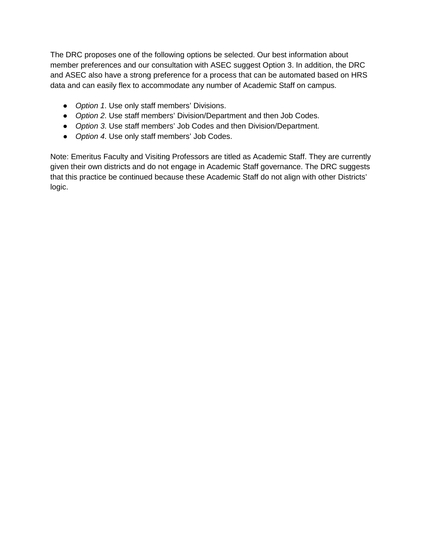The DRC proposes one of the following options be selected. Our best information about member preferences and our consultation with ASEC suggest Option 3. In addition, the DRC and ASEC also have a strong preference for a process that can be automated based on HRS data and can easily flex to accommodate any number of Academic Staff on campus.

- *Option 1*. Use only staff members' Divisions.
- *Option 2*. Use staff members' Division/Department and then Job Codes.
- *Option 3*. Use staff members' Job Codes and then Division/Department.
- *Option 4*. Use only staff members' Job Codes.

Note: Emeritus Faculty and Visiting Professors are titled as Academic Staff. They are currently given their own districts and do not engage in Academic Staff governance. The DRC suggests that this practice be continued because these Academic Staff do not align with other Districts' logic.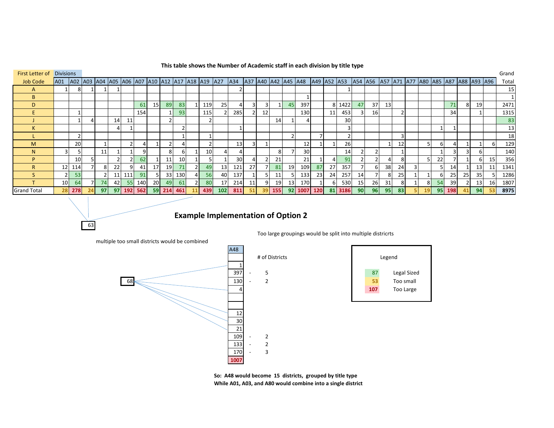### **This table shows the Number of Academic staff in each division by title type**

| <b>First Letter of Divisions</b> |                 |           |                                                            |    |    |                          |         |                 |                |     |                |           |     |     |                |                 |     |           |                     |             |    |      |                 |           |                 |    |                |                 |    |     |                |                                                       |                 | Grand |
|----------------------------------|-----------------|-----------|------------------------------------------------------------|----|----|--------------------------|---------|-----------------|----------------|-----|----------------|-----------|-----|-----|----------------|-----------------|-----|-----------|---------------------|-------------|----|------|-----------------|-----------|-----------------|----|----------------|-----------------|----|-----|----------------|-------------------------------------------------------|-----------------|-------|
| <b>Job Code</b>                  | A01             |           | A02  A03  A04  A05  A06  A07  A10  A12  A17  A18  A19  A27 |    |    |                          |         |                 |                |     |                |           |     | A34 |                |                 |     |           | A37 A40 A42 A45 A48 | A49 A52 A53 |    |      |                 |           |                 |    |                |                 |    |     |                | A54  A56  A57  A71  A77  A80  A85  A87  A88  A93  A96 |                 | Total |
| A                                |                 | 81        |                                                            |    |    |                          |         |                 |                |     |                |           |     |     |                |                 |     |           |                     |             |    |      |                 |           |                 |    |                |                 |    |     |                |                                                       |                 | 15    |
| B                                |                 |           |                                                            |    |    |                          |         |                 |                |     |                |           |     |     |                |                 |     |           |                     |             |    |      |                 |           |                 |    |                |                 |    |     |                |                                                       |                 |       |
| D                                |                 |           |                                                            |    |    |                          | 61      | 15 <sup>1</sup> | 89             | 83  |                | 119       | 25  |     | $\overline{3}$ |                 |     | 45        | 397                 |             | 8  | 1422 | 47              | 37        | 13 <sup>1</sup> |    |                |                 |    | 71  | 8              | 19                                                    |                 | 2471  |
|                                  |                 |           |                                                            |    |    |                          | 154     |                 |                | 93  |                | 115       |     | 285 |                | 12              |     |           | 130                 |             | 11 | 453  |                 | <b>16</b> |                 |    |                |                 |    | 34  |                |                                                       |                 | 1315  |
|                                  |                 |           |                                                            |    | 14 | 11                       |         |                 | 2              |     |                |           |     |     |                |                 | 14  |           |                     |             |    | 30   |                 |           |                 |    |                |                 |    |     |                |                                                       |                 | 83    |
|                                  |                 |           |                                                            |    |    |                          |         |                 |                |     |                |           |     |     |                |                 |     |           |                     |             |    |      |                 |           |                 |    |                |                 |    |     |                |                                                       |                 | 13    |
|                                  |                 |           |                                                            |    |    |                          |         |                 |                |     |                |           |     |     |                |                 |     |           |                     |             |    |      |                 |           |                 |    |                |                 |    |     |                |                                                       |                 | 18    |
| M                                |                 | <b>20</b> |                                                            |    |    | $\overline{\phantom{a}}$ | 4       |                 | 2 <sup>1</sup> |     |                |           |     | 13  | $\overline{3}$ |                 |     |           | 12                  |             |    | 26   |                 |           |                 | 12 |                |                 | 6  | 4   |                |                                                       | -61             | 129   |
| N                                |                 |           |                                                            | 11 |    |                          | q       |                 | 8              |     |                | <b>10</b> |     |     |                |                 | 8   |           | 30 <sub>1</sub>     |             |    | 14   |                 |           |                 |    |                |                 |    |     | $\overline{3}$ |                                                       |                 | 140   |
| D                                |                 | <b>10</b> |                                                            |    |    |                          | 62      |                 | 11             | 10  |                |           |     | 30  |                |                 | 21  |           | 21                  |             |    | 91   |                 |           |                 |    |                |                 | 22 |     |                |                                                       | 15              | 356   |
| R                                | 12 <sub>1</sub> | 114       |                                                            |    | 22 | 9                        | 41      | 17              | 19             | 71  | 21             | 49        | 13  | 121 | 27             |                 | 81  | <b>19</b> | 109                 | 87          | 27 | 357  |                 | 61        | 38              | 24 | $\overline{3}$ |                 |    | 14  |                | 13                                                    | 11              | 1341  |
|                                  |                 | 53        |                                                            |    | 11 | $111$                    | 91      |                 | 33             | 130 | 4 <sup>1</sup> | 56        | 40  | 137 |                |                 | 11  |           | 133                 | 23          | 24 | 257  | 14              |           | 8               | 25 |                |                 | -6 | 25  | 25             | 35 <sub>l</sub>                                       |                 | 1286  |
|                                  | 10 <sup>1</sup> | 64        |                                                            | 74 | 42 | 55                       | 140     | <b>20</b>       | 49             | 61  | 21             | 80        | 17  | 214 | 11             |                 | 19  | 13        | 170                 |             |    | 530  | 15 <sub>l</sub> | 26        | 31              | 81 |                |                 | 54 | 39  | $\overline{2}$ | 13                                                    | 16 <sup>1</sup> | 1807  |
| <b>Grand Total</b>               | <b>28</b>       | 278       | 24                                                         | 97 | 97 |                          | 192 562 | <b>591</b>      | 214            | 461 |                | 439       | 102 | 811 | 51             | 39 <sub>1</sub> | 155 |           | 92 1007 120         |             | 81 | 3186 | 90 <sub>1</sub> | <b>96</b> | 95              | 83 |                | 19 <sup>1</sup> | 95 | 198 | 41             | 94                                                    | 53              | 8975  |

# **Example Implementation of Option 2**

Too large groupings would be split into multiple districrts

multiple too small districts would be combined

63





**So: A48 would become 15 districts, grouped by title type While A01, A03, and A80 would combine into a single district**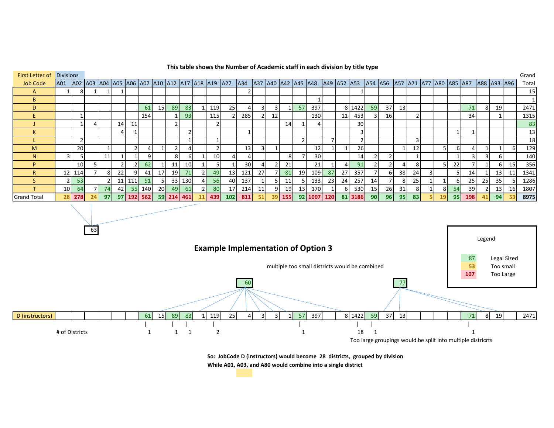| First Letter of    | <b>Divisions</b> |        |                                                                       |        |                 |          |     |                 |                 |     |    |                 |     |     |    |    |     |                 |                     |     |             |                 |                 |                                        |                 |    |    |    |              |    |             |                 | Grand           |
|--------------------|------------------|--------|-----------------------------------------------------------------------|--------|-----------------|----------|-----|-----------------|-----------------|-----|----|-----------------|-----|-----|----|----|-----|-----------------|---------------------|-----|-------------|-----------------|-----------------|----------------------------------------|-----------------|----|----|----|--------------|----|-------------|-----------------|-----------------|
| <b>Job Code</b>    | A01              |        | A02   A03   A04   A05   A06   A07   A10   A12   A17   A18   A19   A27 |        |                 |          |     |                 |                 |     |    |                 |     | A34 |    |    |     |                 | A37 A40 A42 A45 A48 |     | A49 A52 A53 |                 |                 | A54  A56  A57  A71  A77  A80  A85  A87 |                 |    |    |    |              |    | A88 A93 A96 |                 | Total           |
|                    |                  | 8      |                                                                       |        |                 |          |     |                 |                 |     |    |                 |     |     |    |    |     |                 |                     |     |             |                 |                 |                                        |                 |    |    |    |              |    |             |                 | 15              |
| <sub>B</sub>       |                  |        |                                                                       |        |                 |          |     |                 |                 |     |    |                 |     |     |    |    |     |                 |                     |     |             |                 |                 |                                        |                 |    |    |    |              |    |             |                 |                 |
| D.                 |                  |        |                                                                       |        |                 |          | 61  | 15 <sub>l</sub> | 89              | 83  |    | 119             | 25  |     | RГ | 3  |     | 57              | 397                 |     | 81          | 1422            | 59              | 37                                     | 13              |    |    |    | 71           | 8  | 19          |                 | 2471            |
|                    |                  |        |                                                                       |        |                 |          | 154 |                 |                 | 93  |    | 115             |     | 285 |    | 12 |     |                 | 130                 |     | 11          | 453             |                 | 16                                     |                 |    |    |    | 34           |    |             |                 | 1315            |
|                    |                  |        |                                                                       |        | 14              | 11       |     |                 |                 |     |    |                 |     |     |    |    | 14  |                 |                     |     |             | 30              |                 |                                        |                 |    |    |    |              |    |             |                 | 83              |
|                    |                  |        |                                                                       |        |                 |          |     |                 |                 |     |    |                 |     |     |    |    |     |                 |                     |     |             |                 |                 |                                        |                 |    |    |    |              |    |             |                 | 13              |
|                    |                  |        |                                                                       |        |                 |          |     |                 |                 |     |    |                 |     |     |    |    |     | $\overline{2}$  |                     |     |             |                 |                 |                                        |                 |    |    |    |              |    |             |                 | 18 <sub>1</sub> |
| M                  |                  | 20     |                                                                       |        |                 |          |     |                 | 2               | 4   |    |                 |     | 13  |    |    |     |                 | 12                  |     |             | <b>26</b>       |                 |                                        |                 | 12 |    | 6  | Δ            |    |             | 6 I             | 129             |
| N                  | $\overline{3}$   |        |                                                                       | 11     |                 |          | -9  |                 | 8               | 6   |    | 10 <sup>1</sup> | Δ   |     |    |    | 8   |                 | 30 <sup>1</sup>     |     |             | 14 <sub>1</sub> |                 |                                        |                 |    |    |    | $\mathbf{R}$ |    | 6           |                 | 140             |
|                    |                  | 10     |                                                                       |        |                 |          | 62  |                 | 11              | 10  |    |                 |     | 30  |    |    | 21  |                 | 21                  |     |             | 91              |                 |                                        |                 |    |    | 22 |              |    |             | 15              | 356             |
|                    |                  | 12 114 |                                                                       | 8      | 22              |          | 41  | 17              | 19              | 71  | 21 | 49              | 13  | 121 | 27 |    | 81  | 19              | 109                 | 87  | 27          | 357             |                 | 61                                     | 38 <sup>l</sup> | 24 |    |    | 14           |    | 13          | 11              | 1341            |
|                    | 2 <sub>1</sub>   | 53     |                                                                       | $\sim$ | 11              | 111      | 91  | 5               | 33 <sup>1</sup> | 130 | 41 | 56              | 40  | 137 |    |    | 11  | 5               | 133                 | 23  | 24          | 257             | 14              |                                        |                 | 25 |    | 6  | 25           | 25 | 35          |                 | 1286            |
|                    | 10 <sup>1</sup>  | 64     |                                                                       | 74     | 42 <sub>1</sub> | 55       | 140 | 20 <sub>l</sub> | 49              | 61  |    | 80              | 17  | 214 | 11 | 9  | 19  | 13              | 170                 |     | h           | 530             | 15 <sub>l</sub> | 26                                     | 31              |    | 8  | 54 | 39           |    | 13          | 16              | 1807            |
| <b>Grand Total</b> |                  | 28 278 | 24                                                                    | 97     |                 | $97$ 192 | 562 | 59              | 214             | 461 |    | 439             | 102 | 811 | 51 | 39 | 155 | 92 <sub>1</sub> | 1007                | 120 | 81          | 3186            | 90 <sub>1</sub> | <b>96</b>                              | 95              | 83 | 19 | 95 | 198          | 41 | 94          | 53 <sub>1</sub> | 8975            |

### **This table shows the Number of Academic staff in each division by title type**



**So: JobCode D (instructors) would become 28 districts, grouped by division While A01, A03, and A80 would combine into a single district**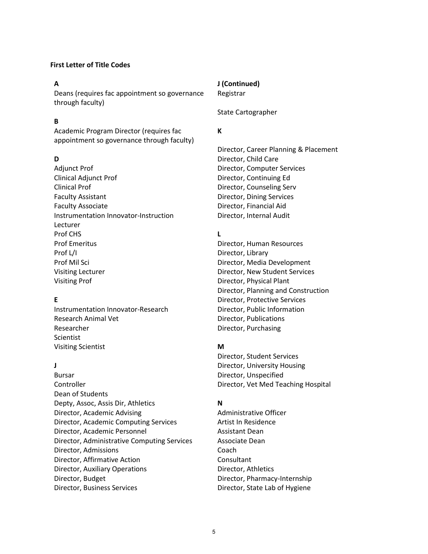### **First Letter of Title Codes**

Deans (requires fac appointment so governance through faculty)

## **B**

Academic Program Director (requires fac appointment so governance through faculty)

Adjunct Prof **Director, Computer Services** Clinical Adjunct Prof Director, Continuing Ed Clinical Prof **Director**, Counseling Serv Faculty Assistant **Example 26 Tangle 20 According Services** Director, Dining Services Faculty Associate **Director**, Financial Aid Instrumentation Innovator-Instruction Director, Internal Audit Lecturer Prof CHS **L** Prof Emeritus Director, Human Resources Prof L/I Director, Library Prof Mil Sci Director, Media Development Visiting Lecturer **Nightlands** Director, New Student Services Visiting Prof **Director**, Physical Plant

Instrumentation Innovator-Research Director, Public Information Research Animal Vet **Director**, Publications Researcher **Director, Purchasing** Scientist Visiting Scientist **M**

Bursar **Director**, Unspecified Controller Director, Vet Med Teaching Hospital Dean of Students Depty, Assoc, Assis Dir, Athletics **N** Director, Academic Advising and an administrative Officer Director, Academic Computing Services Artist In Residence Director, Academic Personnel **Assistant Dean** Director, Administrative Computing Services Associate Dean Director, Admissions Coach Director, Affirmative Action Consultant Director, Auxiliary Operations **Director, Athletics** Director, Budget Director, Pharmacy-Internship Director, Business Services **Director**, State Lab of Hygiene

## **A J (Continued)** Registrar

State Cartographer

## **K**

Director, Career Planning & Placement **D** Director, Child Care

Director, Planning and Construction **E** Director, Protective Services

Director, Student Services **J** Director, University Housing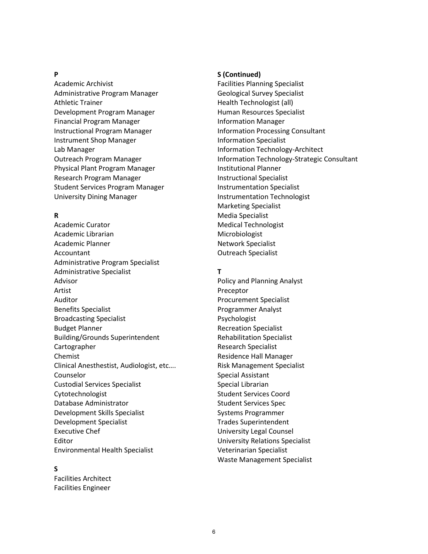Academic Archivist **Facilities Planning Specialist** Facilities Planning Specialist Administrative Program Manager Geological Survey Specialist Athletic Trainer **Health Technologist** (all) Development Program Manager **Human Resources Specialist** Financial Program Manager **Information Manager** Information Manager Instructional Program Manager **Information Processing Consultant** Instrument Shop Manager **Information Specialist** Lab Manager **Information Technology-Architect** Lab Physical Plant Program Manager **Institutional Planner** Research Program Manager **Instructional Specialist** Student Services Program Manager **Instrumentation Specialist** University Dining Manager **Instrumentation Technologist** 

Academic Curator **Medical Technologist** Medical Technologist Academic Librarian Microbiologist Academic Planner Network Specialist Accountant **Accountant Accountant Accountant Outreach Specialist** Administrative Program Specialist Administrative Specialist **T** Advisor Policy and Planning Analyst Artist Preceptor Auditor **Auditor** Procurement Specialist Benefits Specialist **Programmer Analyst** Programmer Analyst Broadcasting Specialist **Psychologist** Psychologist Budget Planner **Recreation Specialist** Recreation Specialist Building/Grounds Superintendent Rehabilitation Specialist Cartographer **Research Specialist** Chemist **Chemist Residence Hall Manager Residence Hall Manager** Clinical Anesthestist, Audiologist, etc.... Risk Management Specialist Counselor **Special Assistant** Custodial Services Specialist Special Librarian Cytotechnologist **Student Services Coord** Student Services Coord Database Administrator Student Services Spec Development Skills Specialist Systems Programmer Development Specialist Trades Superintendent Executive Chef **Executive Chef Executive Chef Executive** Chef **Executive** Chef **Executive** Chef **EXECUTIVE CON** Editor University Relations Specialist Environmental Health Specialist Veterinarian Specialist

### **S**

Facilities Architect Facilities Engineer

### **P S (Continued)**

Outreach Program Manager **Information Technology-Strategic Consultant** Marketing Specialist **R** Media Specialist

Waste Management Specialist